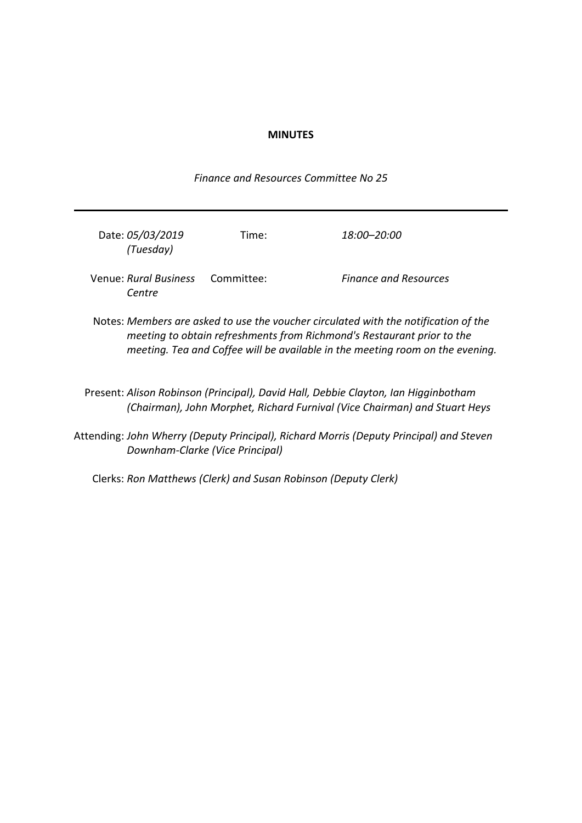# **MINUTES**

*Finance and Resources Committee No 25*

| Date: 05/03/2019<br>(Tuesday)   | Time:      | 18:00–20:00                  |
|---------------------------------|------------|------------------------------|
| Venue: Rural Business<br>Centre | Committee: | <b>Finance and Resources</b> |

- Notes: *Members are asked to use the voucher circulated with the notification of the meeting to obtain refreshments from Richmond's Restaurant prior to the meeting. Tea and Coffee will be available in the meeting room on the evening.*
- Present: *Alison Robinson (Principal), David Hall, Debbie Clayton, Ian Higginbotham (Chairman), John Morphet, Richard Furnival (Vice Chairman) and Stuart Heys*

Attending: *John Wherry (Deputy Principal), Richard Morris (Deputy Principal) and Steven Downham-Clarke (Vice Principal)*

Clerks: *Ron Matthews (Clerk) and Susan Robinson (Deputy Clerk)*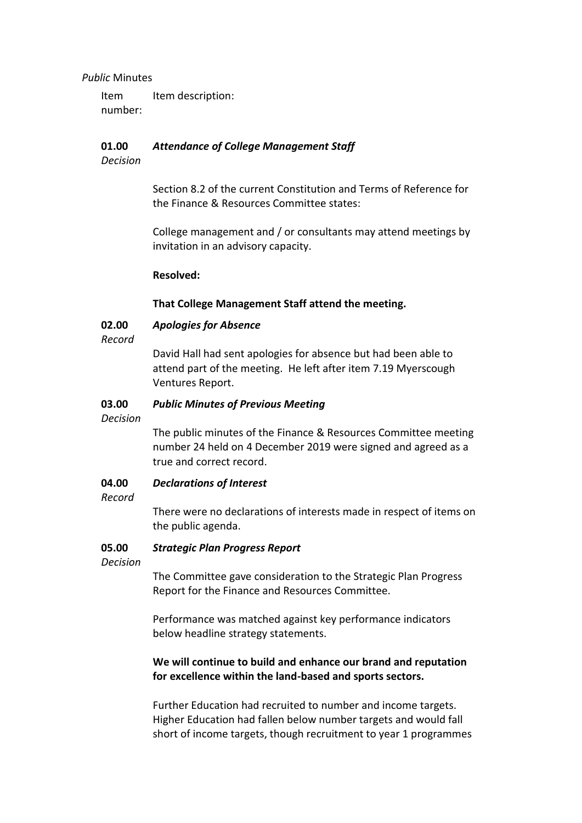# *Public* Minutes

Item number: Item description:

#### **01.00** *Attendance of College Management Staff*

*Decision*

Section 8.2 of the current Constitution and Terms of Reference for the Finance & Resources Committee states:

College management and / or consultants may attend meetings by invitation in an advisory capacity.

# **Resolved:**

# **That College Management Staff attend the meeting.**

#### **02.00** *Apologies for Absence*

*Record*

David Hall had sent apologies for absence but had been able to attend part of the meeting. He left after item 7.19 Myerscough Ventures Report.

#### **03.00** *Public Minutes of Previous Meeting*

*Decision*

The public minutes of the Finance & Resources Committee meeting number 24 held on 4 December 2019 were signed and agreed as a true and correct record.

#### **04.00** *Declarations of Interest*

*Record*

There were no declarations of interests made in respect of items on the public agenda.

#### **05.00** *Strategic Plan Progress Report*

*Decision*

The Committee gave consideration to the Strategic Plan Progress Report for the Finance and Resources Committee.

Performance was matched against key performance indicators below headline strategy statements.

# **We will continue to build and enhance our brand and reputation for excellence within the land-based and sports sectors.**

Further Education had recruited to number and income targets. Higher Education had fallen below number targets and would fall short of income targets, though recruitment to year 1 programmes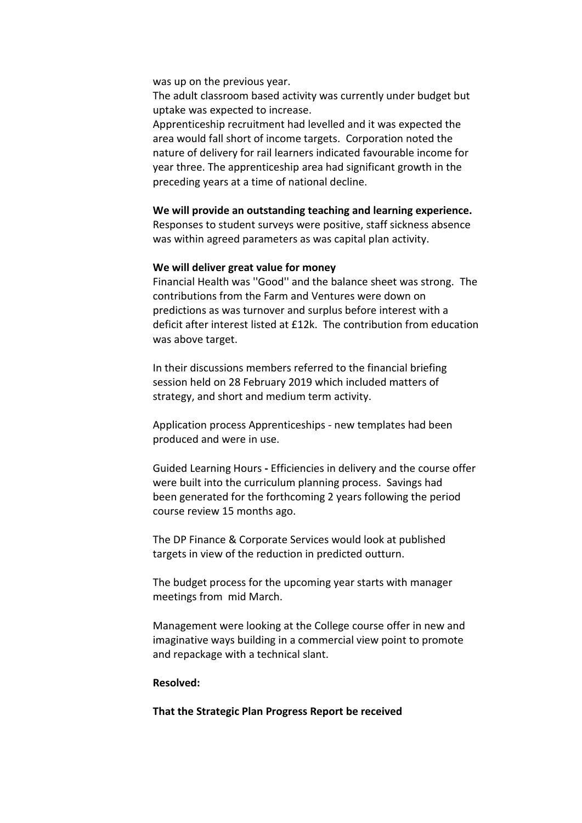was up on the previous year.

The adult classroom based activity was currently under budget but uptake was expected to increase.

Apprenticeship recruitment had levelled and it was expected the area would fall short of income targets. Corporation noted the nature of delivery for rail learners indicated favourable income for year three. The apprenticeship area had significant growth in the preceding years at a time of national decline.

### **We will provide an outstanding teaching and learning experience.**

Responses to student surveys were positive, staff sickness absence was within agreed parameters as was capital plan activity.

### **We will deliver great value for money**

Financial Health was ''Good'' and the balance sheet was strong. The contributions from the Farm and Ventures were down on predictions as was turnover and surplus before interest with a deficit after interest listed at £12k. The contribution from education was above target.

In their discussions members referred to the financial briefing session held on 28 February 2019 which included matters of strategy, and short and medium term activity.

Application process Apprenticeships - new templates had been produced and were in use.

Guided Learning Hours **-** Efficiencies in delivery and the course offer were built into the curriculum planning process. Savings had been generated for the forthcoming 2 years following the period course review 15 months ago.

The DP Finance & Corporate Services would look at published targets in view of the reduction in predicted outturn.

The budget process for the upcoming year starts with manager meetings from mid March.

Management were looking at the College course offer in new and imaginative ways building in a commercial view point to promote and repackage with a technical slant.

## **Resolved:**

**That the Strategic Plan Progress Report be received**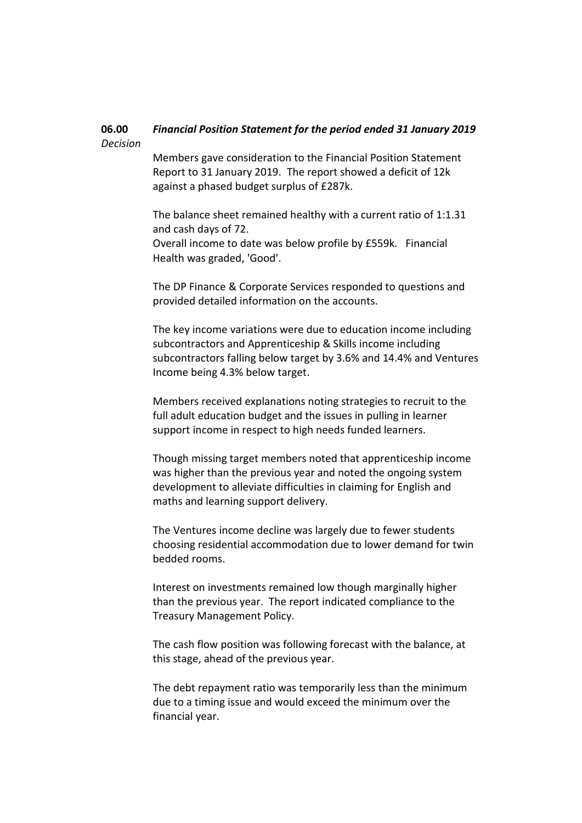### **06.00** *Decision Financial Position Statement for the period ended 31 January 2019*

Members gave consideration to the Financial Position Statement Report to 31 January 2019. The report showed a deficit of 12k against a phased budget surplus of £287k.

The balance sheet remained healthy with a current ratio of 1:1.31 and cash days of 72. Overall income to date was below profile by £559k. Financial Health was graded, 'Good'.

The DP Finance & Corporate Services responded to questions and provided detailed information on the accounts.

The key income variations were due to education income including subcontractors and Apprenticeship & Skills income including subcontractors falling below target by 3.6% and 14.4% and Ventures Income being 4.3% below target.

Members received explanations noting strategies to recruit to the full adult education budget and the issues in pulling in learner support income in respect to high needs funded learners.

Though missing target members noted that apprenticeship income was higher than the previous year and noted the ongoing system development to alleviate difficulties in claiming for English and maths and learning support delivery.

The Ventures income decline was largely due to fewer students choosing residential accommodation due to lower demand for twin bedded rooms.

Interest on investments remained low though marginally higher than the previous year. The report indicated compliance to the Treasury Management Policy.

The cash flow position was following forecast with the balance, at this stage, ahead of the previous year.

The debt repayment ratio was temporarily less than the minimum due to a timing issue and would exceed the minimum over the financial year.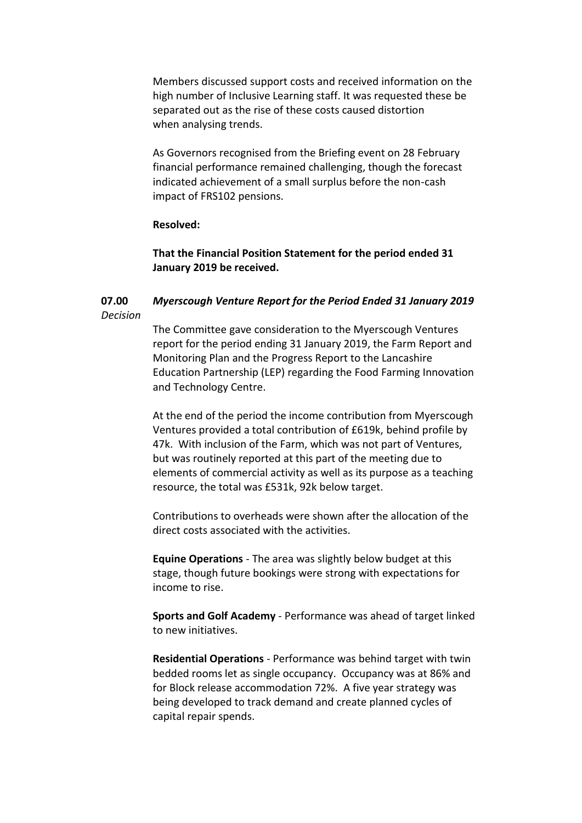Members discussed support costs and received information on the high number of Inclusive Learning staff. It was requested these be separated out as the rise of these costs caused distortion when analysing trends.

As Governors recognised from the Briefing event on 28 February financial performance remained challenging, though the forecast indicated achievement of a small surplus before the non-cash impact of FRS102 pensions.

# **Resolved:**

**That the Financial Position Statement for the period ended 31 January 2019 be received.**

### **07.00** *Decision Myerscough Venture Report for the Period Ended 31 January 2019*

The Committee gave consideration to the Myerscough Ventures report for the period ending 31 January 2019, the Farm Report and Monitoring Plan and the Progress Report to the Lancashire Education Partnership (LEP) regarding the Food Farming Innovation and Technology Centre.

At the end of the period the income contribution from Myerscough Ventures provided a total contribution of £619k, behind profile by 47k. With inclusion of the Farm, which was not part of Ventures, but was routinely reported at this part of the meeting due to elements of commercial activity as well as its purpose as a teaching resource, the total was £531k, 92k below target.

Contributions to overheads were shown after the allocation of the direct costs associated with the activities.

**Equine Operations** - The area was slightly below budget at this stage, though future bookings were strong with expectations for income to rise.

**Sports and Golf Academy** - Performance was ahead of target linked to new initiatives.

**Residential Operations** - Performance was behind target with twin bedded rooms let as single occupancy. Occupancy was at 86% and for Block release accommodation 72%. A five year strategy was being developed to track demand and create planned cycles of capital repair spends.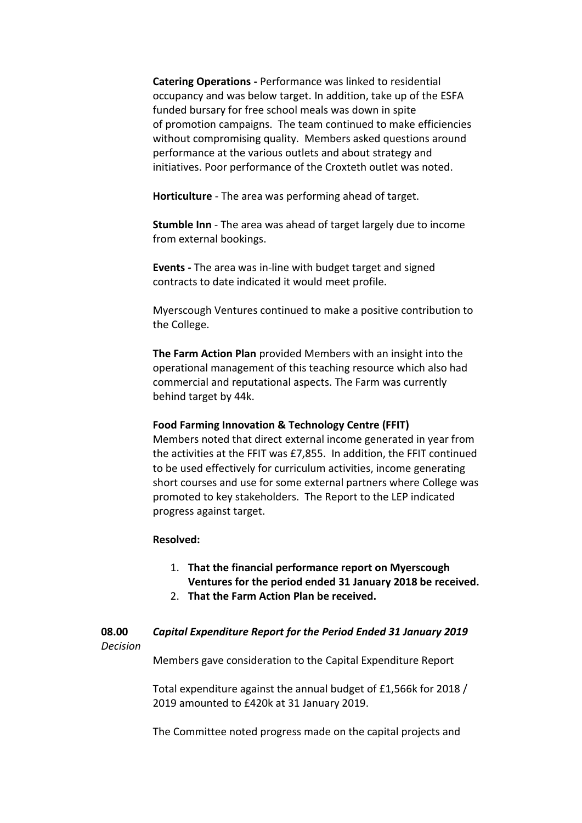**Catering Operations -** Performance was linked to residential occupancy and was below target. In addition, take up of the ESFA funded bursary for free school meals was down in spite of promotion campaigns. The team continued to make efficiencies without compromising quality. Members asked questions around performance at the various outlets and about strategy and initiatives. Poor performance of the Croxteth outlet was noted.

**Horticulture** - The area was performing ahead of target.

**Stumble Inn** - The area was ahead of target largely due to income from external bookings.

**Events -** The area was in-line with budget target and signed contracts to date indicated it would meet profile.

Myerscough Ventures continued to make a positive contribution to the College.

**The Farm Action Plan** provided Members with an insight into the operational management of this teaching resource which also had commercial and reputational aspects. The Farm was currently behind target by 44k.

## **Food Farming Innovation & Technology Centre (FFIT)**

Members noted that direct external income generated in year from the activities at the FFIT was £7,855. In addition, the FFIT continued to be used effectively for curriculum activities, income generating short courses and use for some external partners where College was promoted to key stakeholders. The Report to the LEP indicated progress against target.

# **Resolved:**

- 1. **That the financial performance report on Myerscough Ventures for the period ended 31 January 2018 be received.**
- 2. **That the Farm Action Plan be received.**

### **08.00** *Decision Capital Expenditure Report for the Period Ended 31 January 2019*

Members gave consideration to the Capital Expenditure Report

Total expenditure against the annual budget of £1,566k for 2018 / 2019 amounted to £420k at 31 January 2019.

The Committee noted progress made on the capital projects and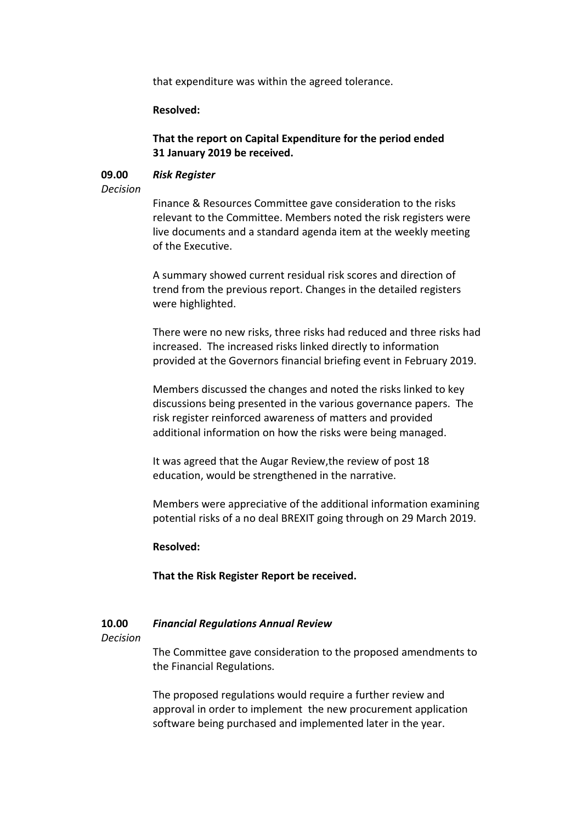that expenditure was within the agreed tolerance.

# **Resolved:**

# **That the report on Capital Expenditure for the period ended 31 January 2019 be received.**

#### **09.00** *Risk Register*

## *Decision*

Finance & Resources Committee gave consideration to the risks relevant to the Committee. Members noted the risk registers were live documents and a standard agenda item at the weekly meeting of the Executive.

A summary showed current residual risk scores and direction of trend from the previous report. Changes in the detailed registers were highlighted.

There were no new risks, three risks had reduced and three risks had increased. The increased risks linked directly to information provided at the Governors financial briefing event in February 2019.

Members discussed the changes and noted the risks linked to key discussions being presented in the various governance papers. The risk register reinforced awareness of matters and provided additional information on how the risks were being managed.

It was agreed that the Augar Review,the review of post 18 education, would be strengthened in the narrative.

Members were appreciative of the additional information examining potential risks of a no deal BREXIT going through on 29 March 2019.

# **Resolved:**

**That the Risk Register Report be received.**

#### **10.00** *Financial Regulations Annual Review*

## *Decision*

The Committee gave consideration to the proposed amendments to the Financial Regulations.

The proposed regulations would require a further review and approval in order to implement the new procurement application software being purchased and implemented later in the year.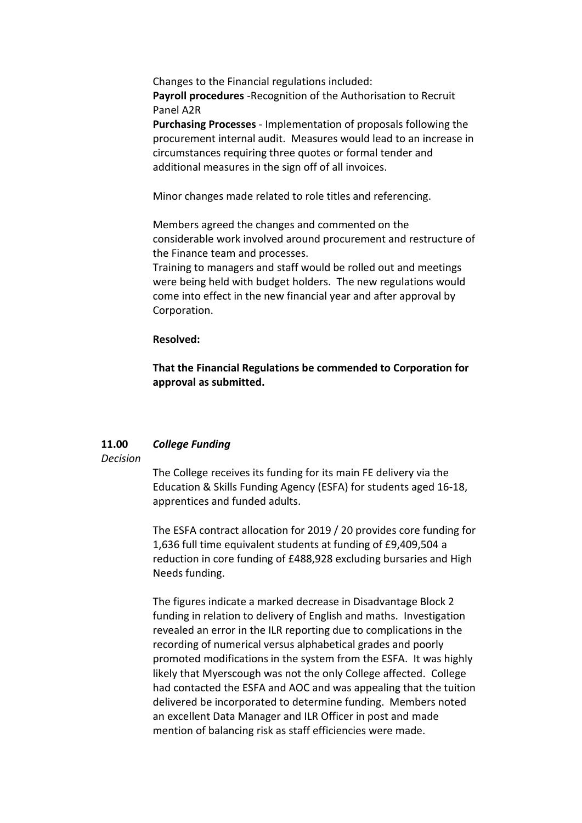Changes to the Financial regulations included:

**Payroll procedures** -Recognition of the Authorisation to Recruit Panel A2R

**Purchasing Processes** - Implementation of proposals following the procurement internal audit. Measures would lead to an increase in circumstances requiring three quotes or formal tender and additional measures in the sign off of all invoices.

Minor changes made related to role titles and referencing.

Members agreed the changes and commented on the considerable work involved around procurement and restructure of the Finance team and processes.

Training to managers and staff would be rolled out and meetings were being held with budget holders. The new regulations would come into effect in the new financial year and after approval by Corporation.

# **Resolved:**

**That the Financial Regulations be commended to Corporation for approval as submitted.**

#### **11.00** *College Funding*

*Decision*

The College receives its funding for its main FE delivery via the Education & Skills Funding Agency (ESFA) for students aged 16-18, apprentices and funded adults.

The ESFA contract allocation for 2019 / 20 provides core funding for 1,636 full time equivalent students at funding of £9,409,504 a reduction in core funding of £488,928 excluding bursaries and High Needs funding.

The figures indicate a marked decrease in Disadvantage Block 2 funding in relation to delivery of English and maths. Investigation revealed an error in the ILR reporting due to complications in the recording of numerical versus alphabetical grades and poorly promoted modifications in the system from the ESFA. It was highly likely that Myerscough was not the only College affected. College had contacted the ESFA and AOC and was appealing that the tuition delivered be incorporated to determine funding. Members noted an excellent Data Manager and ILR Officer in post and made mention of balancing risk as staff efficiencies were made.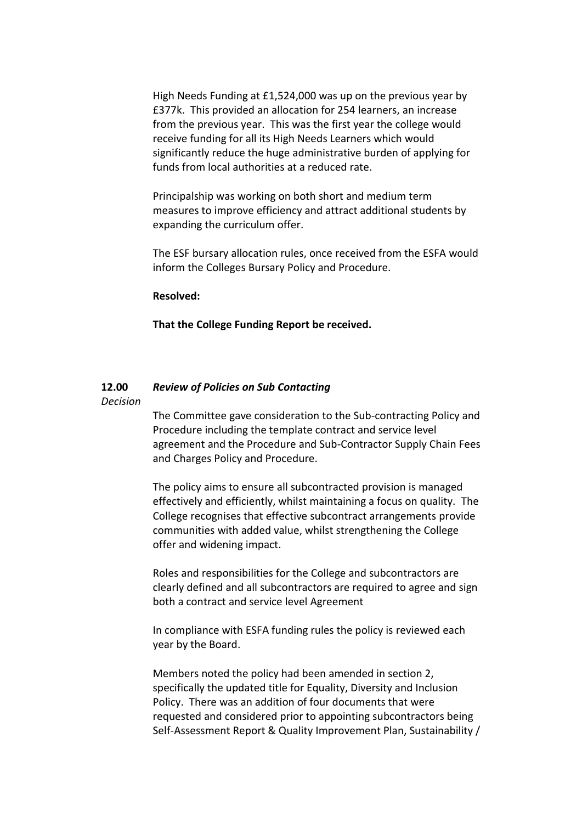High Needs Funding at £1,524,000 was up on the previous year by £377k. This provided an allocation for 254 learners, an increase from the previous year. This was the first year the college would receive funding for all its High Needs Learners which would significantly reduce the huge administrative burden of applying for funds from local authorities at a reduced rate.

Principalship was working on both short and medium term measures to improve efficiency and attract additional students by expanding the curriculum offer.

The ESF bursary allocation rules, once received from the ESFA would inform the Colleges Bursary Policy and Procedure.

## **Resolved:**

**That the College Funding Report be received.**

#### **12.00** *Review of Policies on Sub Contacting*

### *Decision*

The Committee gave consideration to the Sub-contracting Policy and Procedure including the template contract and service level agreement and the Procedure and Sub-Contractor Supply Chain Fees and Charges Policy and Procedure.

The policy aims to ensure all subcontracted provision is managed effectively and efficiently, whilst maintaining a focus on quality. The College recognises that effective subcontract arrangements provide communities with added value, whilst strengthening the College offer and widening impact.

Roles and responsibilities for the College and subcontractors are clearly defined and all subcontractors are required to agree and sign both a contract and service level Agreement

In compliance with ESFA funding rules the policy is reviewed each year by the Board.

Members noted the policy had been amended in section 2, specifically the updated title for Equality, Diversity and Inclusion Policy. There was an addition of four documents that were requested and considered prior to appointing subcontractors being Self-Assessment Report & Quality Improvement Plan, Sustainability /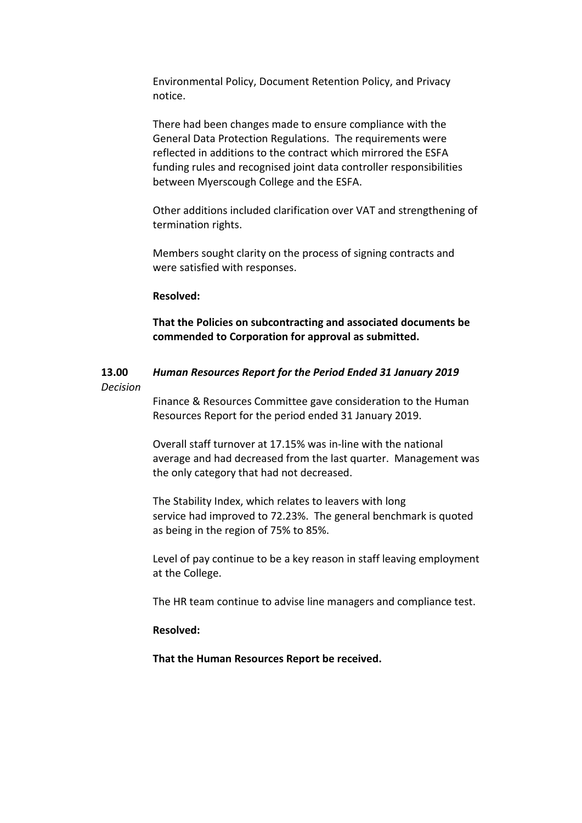Environmental Policy, Document Retention Policy, and Privacy notice.

There had been changes made to ensure compliance with the General Data Protection Regulations. The requirements were reflected in additions to the contract which mirrored the ESFA funding rules and recognised joint data controller responsibilities between Myerscough College and the ESFA.

Other additions included clarification over VAT and strengthening of termination rights.

Members sought clarity on the process of signing contracts and were satisfied with responses.

## **Resolved:**

**That the Policies on subcontracting and associated documents be commended to Corporation for approval as submitted.**

#### **13.00** *Decision Human Resources Report for the Period Ended 31 January 2019*

Finance & Resources Committee gave consideration to the Human Resources Report for the period ended 31 January 2019.

Overall staff turnover at 17.15% was in-line with the national average and had decreased from the last quarter. Management was the only category that had not decreased.

The Stability Index, which relates to leavers with long service had improved to 72.23%. The general benchmark is quoted as being in the region of 75% to 85%.

Level of pay continue to be a key reason in staff leaving employment at the College.

The HR team continue to advise line managers and compliance test.

# **Resolved:**

**That the Human Resources Report be received.**